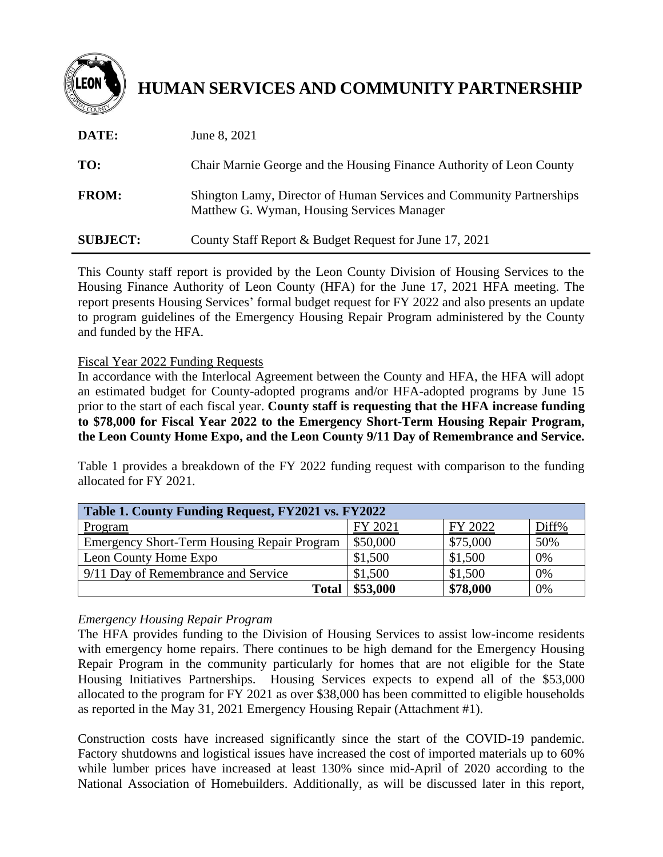

# **HUMAN SERVICES AND COMMUNITY PARTNERSHIP**

| DATE:           | June 8, 2021                                                                                                       |
|-----------------|--------------------------------------------------------------------------------------------------------------------|
| TO:             | Chair Marnie George and the Housing Finance Authority of Leon County                                               |
| <b>FROM:</b>    | Shington Lamy, Director of Human Services and Community Partnerships<br>Matthew G. Wyman, Housing Services Manager |
| <b>SUBJECT:</b> | County Staff Report & Budget Request for June 17, 2021                                                             |

This County staff report is provided by the Leon County Division of Housing Services to the Housing Finance Authority of Leon County (HFA) for the June 17, 2021 HFA meeting. The report presents Housing Services' formal budget request for FY 2022 and also presents an update to program guidelines of the Emergency Housing Repair Program administered by the County and funded by the HFA.

Fiscal Year 2022 Funding Requests

In accordance with the Interlocal Agreement between the County and HFA, the HFA will adopt an estimated budget for County-adopted programs and/or HFA-adopted programs by June 15 prior to the start of each fiscal year. **County staff is requesting that the HFA increase funding to \$78,000 for Fiscal Year 2022 to the Emergency Short-Term Housing Repair Program, the Leon County Home Expo, and the Leon County 9/11 Day of Remembrance and Service.**

Table 1 provides a breakdown of the FY 2022 funding request with comparison to the funding allocated for FY 2021.

| Table 1. County Funding Request, FY2021 vs. FY2022 |          |          |       |  |  |  |  |
|----------------------------------------------------|----------|----------|-------|--|--|--|--|
| Program                                            | FY 2021  | FY 2022  | Diff% |  |  |  |  |
| <b>Emergency Short-Term Housing Repair Program</b> | \$50,000 | \$75,000 | 50%   |  |  |  |  |
| Leon County Home Expo                              | \$1,500  | \$1,500  | 0%    |  |  |  |  |
| 9/11 Day of Remembrance and Service                | \$1,500  | \$1,500  | 0%    |  |  |  |  |
| <b>Total</b>                                       | \$53,000 | \$78,000 | 0%    |  |  |  |  |

# *Emergency Housing Repair Program*

The HFA provides funding to the Division of Housing Services to assist low-income residents with emergency home repairs. There continues to be high demand for the Emergency Housing Repair Program in the community particularly for homes that are not eligible for the State Housing Initiatives Partnerships. Housing Services expects to expend all of the \$53,000 allocated to the program for FY 2021 as over \$38,000 has been committed to eligible households as reported in the May 31, 2021 Emergency Housing Repair (Attachment #1).

Construction costs have increased significantly since the start of the COVID-19 pandemic. Factory shutdowns and logistical issues have increased the cost of imported materials up to 60% while lumber prices have increased at least 130% since mid-April of 2020 according to the National Association of Homebuilders. Additionally, as will be discussed later in this report,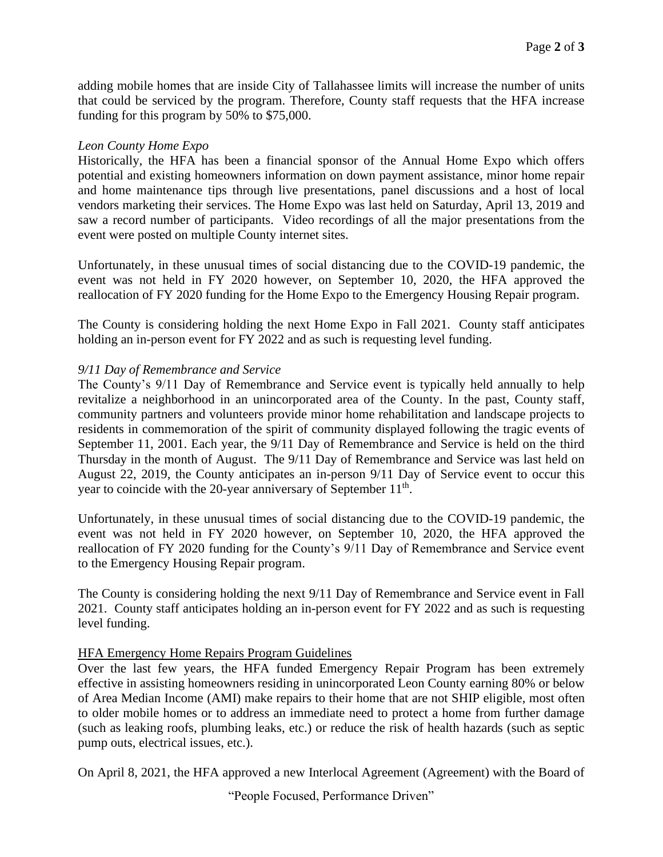adding mobile homes that are inside City of Tallahassee limits will increase the number of units that could be serviced by the program. Therefore, County staff requests that the HFA increase funding for this program by 50% to \$75,000.

## *Leon County Home Expo*

Historically, the HFA has been a financial sponsor of the Annual Home Expo which offers potential and existing homeowners information on down payment assistance, minor home repair and home maintenance tips through live presentations, panel discussions and a host of local vendors marketing their services. The Home Expo was last held on Saturday, April 13, 2019 and saw a record number of participants. Video recordings of all the major presentations from the event were posted on multiple County internet sites.

Unfortunately, in these unusual times of social distancing due to the COVID-19 pandemic, the event was not held in FY 2020 however, on September 10, 2020, the HFA approved the reallocation of FY 2020 funding for the Home Expo to the Emergency Housing Repair program.

The County is considering holding the next Home Expo in Fall 2021. County staff anticipates holding an in-person event for FY 2022 and as such is requesting level funding.

## *9/11 Day of Remembrance and Service*

The County's 9/11 Day of Remembrance and Service event is typically held annually to help revitalize a neighborhood in an unincorporated area of the County. In the past, County staff, community partners and volunteers provide minor home rehabilitation and landscape projects to residents in commemoration of the spirit of community displayed following the tragic events of September 11, 2001. Each year, the 9/11 Day of Remembrance and Service is held on the third Thursday in the month of August. The 9/11 Day of Remembrance and Service was last held on August 22, 2019, the County anticipates an in-person 9/11 Day of Service event to occur this year to coincide with the 20-year anniversary of September  $11<sup>th</sup>$ .

Unfortunately, in these unusual times of social distancing due to the COVID-19 pandemic, the event was not held in FY 2020 however, on September 10, 2020, the HFA approved the reallocation of FY 2020 funding for the County's 9/11 Day of Remembrance and Service event to the Emergency Housing Repair program.

The County is considering holding the next 9/11 Day of Remembrance and Service event in Fall 2021. County staff anticipates holding an in-person event for FY 2022 and as such is requesting level funding.

#### HFA Emergency Home Repairs Program Guidelines

Over the last few years, the HFA funded Emergency Repair Program has been extremely effective in assisting homeowners residing in unincorporated Leon County earning 80% or below of Area Median Income (AMI) make repairs to their home that are not SHIP eligible, most often to older mobile homes or to address an immediate need to protect a home from further damage (such as leaking roofs, plumbing leaks, etc.) or reduce the risk of health hazards (such as septic pump outs, electrical issues, etc.).

On April 8, 2021, the HFA approved a new Interlocal Agreement (Agreement) with the Board of

"People Focused, Performance Driven"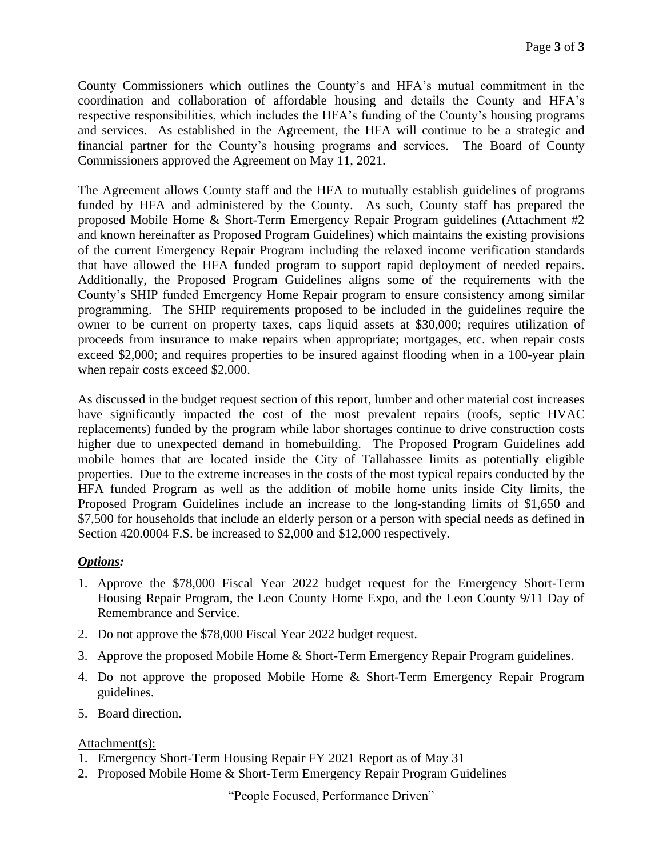County Commissioners which outlines the County's and HFA's mutual commitment in the coordination and collaboration of affordable housing and details the County and HFA's respective responsibilities, which includes the HFA's funding of the County's housing programs and services. As established in the Agreement, the HFA will continue to be a strategic and financial partner for the County's housing programs and services. The Board of County Commissioners approved the Agreement on May 11, 2021.

The Agreement allows County staff and the HFA to mutually establish guidelines of programs funded by HFA and administered by the County. As such, County staff has prepared the proposed Mobile Home & Short-Term Emergency Repair Program guidelines (Attachment #2 and known hereinafter as Proposed Program Guidelines) which maintains the existing provisions of the current Emergency Repair Program including the relaxed income verification standards that have allowed the HFA funded program to support rapid deployment of needed repairs. Additionally, the Proposed Program Guidelines aligns some of the requirements with the County's SHIP funded Emergency Home Repair program to ensure consistency among similar programming. The SHIP requirements proposed to be included in the guidelines require the owner to be current on property taxes, caps liquid assets at \$30,000; requires utilization of proceeds from insurance to make repairs when appropriate; mortgages, etc. when repair costs exceed \$2,000; and requires properties to be insured against flooding when in a 100-year plain when repair costs exceed \$2,000.

As discussed in the budget request section of this report, lumber and other material cost increases have significantly impacted the cost of the most prevalent repairs (roofs, septic HVAC replacements) funded by the program while labor shortages continue to drive construction costs higher due to unexpected demand in homebuilding. The Proposed Program Guidelines add mobile homes that are located inside the City of Tallahassee limits as potentially eligible properties. Due to the extreme increases in the costs of the most typical repairs conducted by the HFA funded Program as well as the addition of mobile home units inside City limits, the Proposed Program Guidelines include an increase to the long-standing limits of \$1,650 and \$7,500 for households that include an elderly person or a person with special needs as defined in Section 420.0004 F.S. be increased to \$2,000 and \$12,000 respectively.

# *Options:*

- 1. Approve the \$78,000 Fiscal Year 2022 budget request for the Emergency Short-Term Housing Repair Program, the Leon County Home Expo, and the Leon County 9/11 Day of Remembrance and Service.
- 2. Do not approve the \$78,000 Fiscal Year 2022 budget request.
- 3. Approve the proposed Mobile Home & Short-Term Emergency Repair Program guidelines.
- 4. Do not approve the proposed Mobile Home & Short-Term Emergency Repair Program guidelines.
- 5. Board direction.

# Attachment(s):

- 1. Emergency Short-Term Housing Repair FY 2021 Report as of May 31
- 2. Proposed Mobile Home & Short-Term Emergency Repair Program Guidelines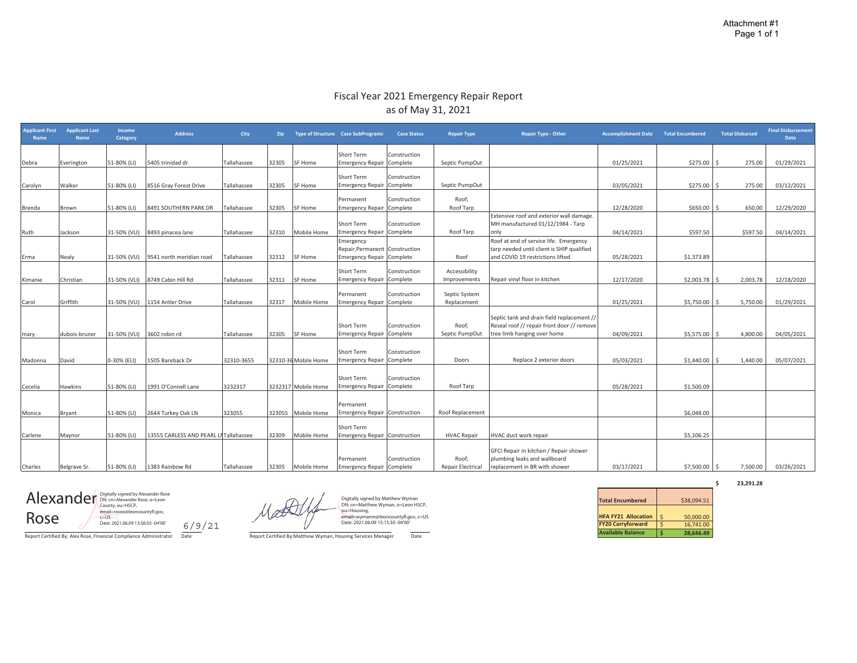#### Fiscal Year 2021 Emergency Repair Report as of May 31, 2021

| <b>Applicant First</b><br><b>Name</b> | <b>Applicant Last</b><br><b>Name</b> | Income<br>Category         | <b>Address</b>                         | <b>City</b> | Zip   |                      | Type of Structure Case SubPrograms                        | <b>Case Status</b>       | <b>Repair Type</b>           | <b>Repair Type - Other</b>                                                                                              | <b>Accomplishment Date Total Encumbered</b> |            | <b>Total Disbursed</b> | <b>Final Disbursement</b><br><b>Date</b> |
|---------------------------------------|--------------------------------------|----------------------------|----------------------------------------|-------------|-------|----------------------|-----------------------------------------------------------|--------------------------|------------------------------|-------------------------------------------------------------------------------------------------------------------------|---------------------------------------------|------------|------------------------|------------------------------------------|
|                                       |                                      |                            |                                        |             |       |                      | Short Term                                                | Construction             |                              |                                                                                                                         |                                             |            |                        |                                          |
| Debra                                 | Everington                           | 51-80% (LI)                | 5405 trinidad dr.                      | Tallahassee | 32305 | <b>SF Home</b>       | <b>Emergency Repair</b>                                   | Complete                 | Septic PumpOut               |                                                                                                                         | 01/25/2021                                  | \$275.00   | 275.00                 | 01/29/2021                               |
| Carolyn                               | Walker                               | 51-80% (LI)                | 8516 Gray Forest Drive                 | Tallahassee | 32305 | SF Home              | Short Term<br><b>Emergency Repair</b>                     | Construction<br>Complete | Septic PumpOut               |                                                                                                                         | 03/05/2021                                  | \$275.00   | 275.00                 | 03/12/2021                               |
|                                       |                                      |                            |                                        |             |       |                      |                                                           |                          |                              |                                                                                                                         |                                             |            |                        |                                          |
|                                       |                                      |                            |                                        |             |       |                      | Permanent                                                 | Construction             | Roof;                        |                                                                                                                         |                                             |            |                        |                                          |
| Brenda                                | Brown                                | 51-80% (LI)                | 8491 SOUTHERN PARK DR                  | Tallahassee | 32305 | SF Home              | <b>Emergency Repair</b>                                   | Complete                 | Roof Tarp                    |                                                                                                                         | 12/28/2020                                  | \$650.00   | 650.00                 | 12/29/2020                               |
| Ruth                                  | Jackson                              |                            | 31-50% (VLI) 8493 pinacea lane         | Tallahassee | 32310 | Mobile Home          | Short Term<br><b>Emergency Repair</b>                     | Construction<br>Complete | Roof Tarp                    | Extensive roof and exterior wall damage.<br>MH manufactured 01/12/1984 - Tarp<br>only                                   | 04/14/2021                                  | \$597.50   | \$597.50               | 04/14/2021                               |
|                                       |                                      |                            |                                        |             |       |                      | Emergency                                                 |                          |                              | Roof at end of service life. Emergency                                                                                  |                                             |            |                        |                                          |
|                                       |                                      |                            |                                        |             |       |                      | Repair, Permanent                                         | Construction             |                              | tarp needed until client is SHIP qualified                                                                              |                                             |            |                        |                                          |
| Erma                                  | Nealy                                |                            | 31-50% (VLI) 9541 north meridian road  | Tallahassee | 32312 | SF Home              | <b>Emergency Repair</b>                                   | Complete                 | Roof                         | and COVID 19 restrictions lifted.                                                                                       | 05/28/2021                                  | \$1,373.89 |                        |                                          |
|                                       |                                      |                            |                                        |             |       |                      | Short Term                                                | Construction             | Accessibility                |                                                                                                                         |                                             |            |                        |                                          |
| Kimanie                               | Christian                            |                            | 31-50% (VLI) 8749 Cabin Hill Rd        | Tallahassee | 32311 | SF Home              | <b>Emergency Repair</b>                                   | Complete                 | Improvements                 | Repair vinyl floor in kitchen                                                                                           | 12/17/2020                                  | \$2,003.78 | 2,003.78               | 12/18/2020                               |
| Carol                                 | Griffith                             |                            | 31-50% (VLI) 1154 Antler Drive         | Tallahassee | 32317 | Mobile Home          | Permanent<br><b>Emergency Repair</b>                      | Construction<br>Complete | Septic System<br>Replacement |                                                                                                                         | 01/25/2021                                  | \$5,750.00 | 5,750.00               | 01/29/2021                               |
| mary                                  | dubois-bruner                        | 31-50% (VLI) 3602 robin rd |                                        | Tallahassee | 32305 | SF Home              | Short Term<br><b>Emergency Repair</b>                     | Construction<br>Complete | Roof;<br>Septic PumpOut      | Septic tank and drain field replacement //<br>Reseal roof // repair front door // remove<br>tree limb hanging over home | 04/09/2021                                  | \$5,575.00 | 4.800.00               | 04/05/2021                               |
|                                       |                                      |                            |                                        |             |       |                      |                                                           |                          |                              |                                                                                                                         |                                             |            |                        |                                          |
|                                       |                                      |                            |                                        |             |       |                      | Short Term                                                | Construction             |                              |                                                                                                                         |                                             |            |                        |                                          |
| Madonna                               | David                                | 0-30% (ELI)                | 1505 Bareback Dr                       | 32310-3655  |       | 32310-36 Mobile Home | <b>Emergency Repair</b>                                   | Complete                 | Doors                        | Replace 2 exterior doors                                                                                                | 05/03/2021                                  | \$1,440.00 | 1,440.00               | 05/07/2021                               |
| Cecelia                               | Hawkins                              | 51-80% (LI)                | 1991 O'Connell Lane                    | 3232317     |       | 3232317 Mobile Home  | Short Term<br><b>Emergency Repair</b>                     | Construction<br>Complete | Roof Tarp                    |                                                                                                                         | 05/28/2021                                  | \$1,500.09 |                        |                                          |
|                                       |                                      |                            |                                        |             |       |                      |                                                           |                          |                              |                                                                                                                         |                                             |            |                        |                                          |
| Monica                                | Bryant                               | 51-80% (LI)                | 2644 Turkey Oak LN                     | 323055      |       | 323055 Mobile Home   | Permanent<br><b>Emergency Repair Construction</b>         |                          | Roof Replacement             |                                                                                                                         |                                             | \$6,048.00 |                        |                                          |
| Carlene                               | Maynor                               | 51-80% (LI)                | 13555 CARLESS AND PEARL LI Tallahassee |             | 32309 | Mobile Home          | <b>Short Term</b><br><b>Emergency Repair Construction</b> |                          | <b>HVAC Repair</b>           | HVAC duct work repair                                                                                                   |                                             | \$5,106.25 |                        |                                          |
|                                       |                                      |                            |                                        |             |       |                      |                                                           |                          |                              |                                                                                                                         |                                             |            |                        |                                          |
|                                       |                                      |                            |                                        |             |       |                      | Permanent                                                 | Construction             | Roof;                        | GFCI Repair in kitchen / Repair shower<br>plumbing leaks and wallboard                                                  |                                             |            |                        |                                          |
| Charles                               | Belgrave Sr.                         | 51-80% (LI)                | 1383 Rainbow Rd                        | Tallahassee | 32305 | Mobile Home          | <b>Emergency Repair</b>                                   | Complete                 | Repair Electrical            | replacement in BR with shower                                                                                           | 03/17/2021                                  | \$7,500.00 | 7,500.00               | 03/26/2021                               |

**NUSE**<br>Report Certified By: Alex Rose, Financial Compliance Administrator Date<br>Report Certified By: Alex Rose, Financial Compliance Administrator Date<br>Report Certified By: Matthew Wyman, Housing Services Manager Date Alexander Rose (Capitally signed by Alexander Rose)<br>
County, ou=HSCP, County, Ou=HSCP, County, Ou=HSCP, County, Ou=HSCP, County, Ou=HSCP, COUNTY, Ou<br>
C=US RoseDate: 2021.06.09 13:56:03 -04'00'

Digitally signed by Matthew Wyman<br>DN: cn=Matthew Wyman, o=Leon HSCP,<br>ou=Housing,<br>email≡wymanm@leoncountyfl.gov, c=US<br>Date: 2021.06.09 15:15:30 -04'00'

**\$ 23,291.28**

| <b>Total Encumbered</b>    |    | \$38,094.51 |
|----------------------------|----|-------------|
|                            |    |             |
| <b>HFA FY21 Allocation</b> | \$ | 50,000,00   |
| <b>FY20 Carryforward</b>   | Ś  | 16.741.00   |
| <b>Available Balance</b>   |    | 28.646.49   |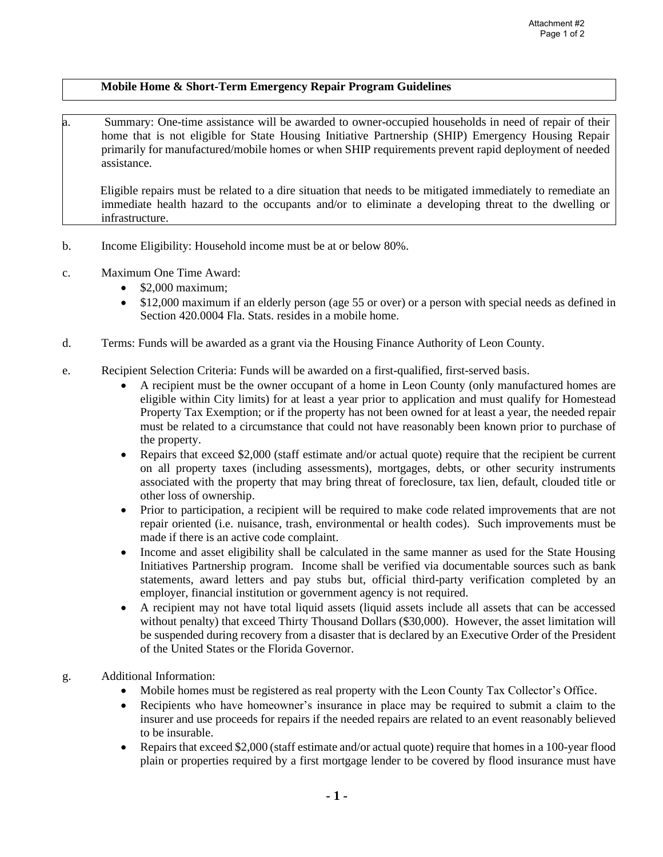## **Mobile Home & Short-Term Emergency Repair Program Guidelines**

a. Summary: One-time assistance will be awarded to owner-occupied households in need of repair of their home that is not eligible for State Housing Initiative Partnership (SHIP) Emergency Housing Repair primarily for manufactured/mobile homes or when SHIP requirements prevent rapid deployment of needed assistance.

Eligible repairs must be related to a dire situation that needs to be mitigated immediately to remediate an immediate health hazard to the occupants and/or to eliminate a developing threat to the dwelling or infrastructure.

- b. Income Eligibility: Household income must be at or below 80%.
- c. Maximum One Time Award:
	- \$2,000 maximum;
	- \$12,000 maximum if an elderly person (age 55 or over) or a person with special needs as defined in Section 420.0004 Fla. Stats. resides in a mobile home.
- d. Terms: Funds will be awarded as a grant via the Housing Finance Authority of Leon County.
- e. Recipient Selection Criteria: Funds will be awarded on a first-qualified, first-served basis.
	- A recipient must be the owner occupant of a home in Leon County (only manufactured homes are eligible within City limits) for at least a year prior to application and must qualify for Homestead Property Tax Exemption; or if the property has not been owned for at least a year, the needed repair must be related to a circumstance that could not have reasonably been known prior to purchase of the property.
	- Repairs that exceed \$2,000 (staff estimate and/or actual quote) require that the recipient be current on all property taxes (including assessments), mortgages, debts, or other security instruments associated with the property that may bring threat of foreclosure, tax lien, default, clouded title or other loss of ownership.
	- Prior to participation, a recipient will be required to make code related improvements that are not repair oriented (i.e. nuisance, trash, environmental or health codes). Such improvements must be made if there is an active code complaint.
	- Income and asset eligibility shall be calculated in the same manner as used for the State Housing Initiatives Partnership program. Income shall be verified via documentable sources such as bank statements, award letters and pay stubs but, official third-party verification completed by an employer, financial institution or government agency is not required.
	- A recipient may not have total liquid assets (liquid assets include all assets that can be accessed without penalty) that exceed Thirty Thousand Dollars (\$30,000). However, the asset limitation will be suspended during recovery from a disaster that is declared by an Executive Order of the President of the United States or the Florida Governor.
- g. Additional Information:
	- Mobile homes must be registered as real property with the Leon County Tax Collector's Office.
	- Recipients who have homeowner's insurance in place may be required to submit a claim to the insurer and use proceeds for repairs if the needed repairs are related to an event reasonably believed to be insurable.
	- Repairs that exceed \$2,000 (staff estimate and/or actual quote) require that homes in a 100-year flood plain or properties required by a first mortgage lender to be covered by flood insurance must have